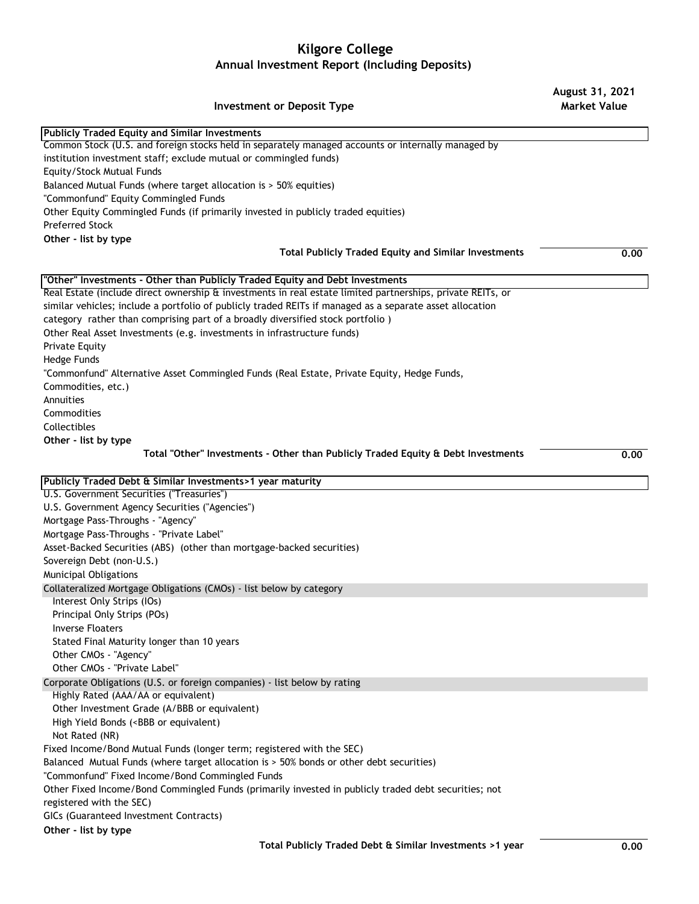## **Kilgore College Annual Investment Report (Including Deposits)**

## **Investment or Deposit Type**

**August 31, 2021 Market Value**

| <b>Publicly Traded Equity and Similar Investments</b>                                                                   |      |
|-------------------------------------------------------------------------------------------------------------------------|------|
| Common Stock (U.S. and foreign stocks held in separately managed accounts or internally managed by                      |      |
| institution investment staff; exclude mutual or commingled funds)                                                       |      |
| Equity/Stock Mutual Funds                                                                                               |      |
| Balanced Mutual Funds (where target allocation is > 50% equities)                                                       |      |
| "Commonfund" Equity Commingled Funds                                                                                    |      |
| Other Equity Commingled Funds (if primarily invested in publicly traded equities)                                       |      |
| Preferred Stock                                                                                                         |      |
| Other - list by type                                                                                                    |      |
| <b>Total Publicly Traded Equity and Similar Investments</b>                                                             | 0.00 |
|                                                                                                                         |      |
| "Other" Investments - Other than Publicly Traded Equity and Debt Investments                                            |      |
| Real Estate (include direct ownership $\rm{\hat{a}}$ investments in real estate limited partnerships, private REITs, or |      |
| similar vehicles; include a portfolio of publicly traded REITs if managed as a separate asset allocation                |      |
| category rather than comprising part of a broadly diversified stock portfolio)                                          |      |
| Other Real Asset Investments (e.g. investments in infrastructure funds)                                                 |      |
| Private Equity                                                                                                          |      |
| Hedge Funds                                                                                                             |      |
| "Commonfund" Alternative Asset Commingled Funds (Real Estate, Private Equity, Hedge Funds,                              |      |
| Commodities, etc.)                                                                                                      |      |
| Annuities                                                                                                               |      |
| Commodities                                                                                                             |      |
| Collectibles                                                                                                            |      |
| Other - list by type                                                                                                    |      |
|                                                                                                                         |      |
| Total "Other" Investments - Other than Publicly Traded Equity & Debt Investments                                        | 0.00 |
| Publicly Traded Debt & Similar Investments>1 year maturity                                                              |      |
| U.S. Government Securities ("Treasuries")                                                                               |      |
| U.S. Government Agency Securities ("Agencies")                                                                          |      |
| Mortgage Pass-Throughs - "Agency"                                                                                       |      |
| Mortgage Pass-Throughs - "Private Label"                                                                                |      |
| Asset-Backed Securities (ABS) (other than mortgage-backed securities)                                                   |      |
| Sovereign Debt (non-U.S.)                                                                                               |      |
| Municipal Obligations                                                                                                   |      |
| Collateralized Mortgage Obligations (CMOs) - list below by category                                                     |      |
| Interest Only Strips (IOs)                                                                                              |      |
| Principal Only Strips (POs)                                                                                             |      |
| Inverse Floaters                                                                                                        |      |
| Stated Final Maturity longer than 10 years                                                                              |      |
| Other CMOs - "Agency"                                                                                                   |      |
| Other CMOs - "Private Label"                                                                                            |      |
|                                                                                                                         |      |
| Corporate Obligations (U.S. or foreign companies) - list below by rating<br>Highly Rated (AAA/AA or equivalent)         |      |
|                                                                                                                         |      |
| Other Investment Grade (A/BBB or equivalent)                                                                            |      |
| High Yield Bonds ( <bbb equivalent)<="" or="" td=""><td></td></bbb>                                                     |      |
| Not Rated (NR)                                                                                                          |      |
| Fixed Income/Bond Mutual Funds (longer term; registered with the SEC)                                                   |      |
| Balanced Mutual Funds (where target allocation is > 50% bonds or other debt securities)                                 |      |
| "Commonfund" Fixed Income/Bond Commingled Funds                                                                         |      |
| Other Fixed Income/Bond Commingled Funds (primarily invested in publicly traded debt securities; not                    |      |
| registered with the SEC)                                                                                                |      |
| GICs (Guaranteed Investment Contracts)                                                                                  |      |
| Other - list by type                                                                                                    |      |
|                                                                                                                         |      |